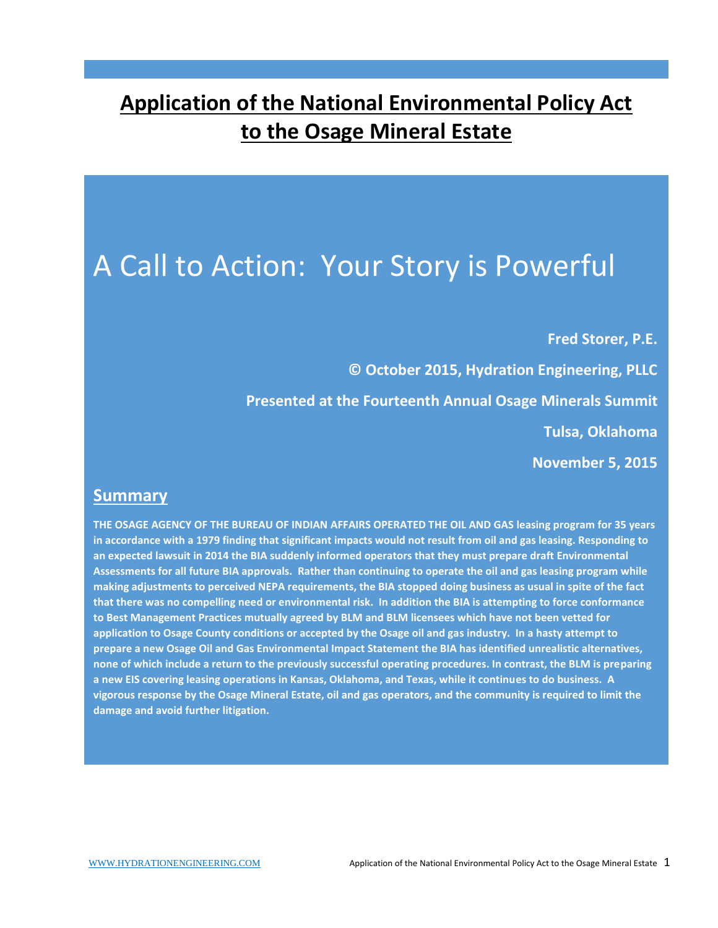## **Application of the National Environmental Policy Act to the Osage Mineral Estate**

# A Call to Action: Your Story is Powerful

**Fred Storer, P.E.**

**© October 2015, Hydration Engineering, PLLC Presented at the Fourteenth Annual Osage Minerals Summit Tulsa, Oklahoma November 5, 2015**

#### **Summary**

**THE OSAGE AGENCY OF THE BUREAU OF INDIAN AFFAIRS OPERATED THE OIL AND GAS leasing program for 35 years in accordance with a 1979 finding that significant impacts would not result from oil and gas leasing. Responding to an expected lawsuit in 2014 the BIA suddenly informed operators that they must prepare draft Environmental Assessments for all future BIA approvals. Rather than continuing to operate the oil and gas leasing program while making adjustments to perceived NEPA requirements, the BIA stopped doing business as usual in spite of the fact that there was no compelling need or environmental risk. In addition the BIA is attempting to force conformance to Best Management Practices mutually agreed by BLM and BLM licensees which have not been vetted for application to Osage County conditions or accepted by the Osage oil and gas industry. In a hasty attempt to prepare a new Osage Oil and Gas Environmental Impact Statement the BIA has identified unrealistic alternatives, none of which include a return to the previously successful operating procedures. In contrast, the BLM is preparing a new EIS covering leasing operations in Kansas, Oklahoma, and Texas, while it continues to do business. A vigorous response by the Osage Mineral Estate, oil and gas operators, and the community is required to limit the damage and avoid further litigation.**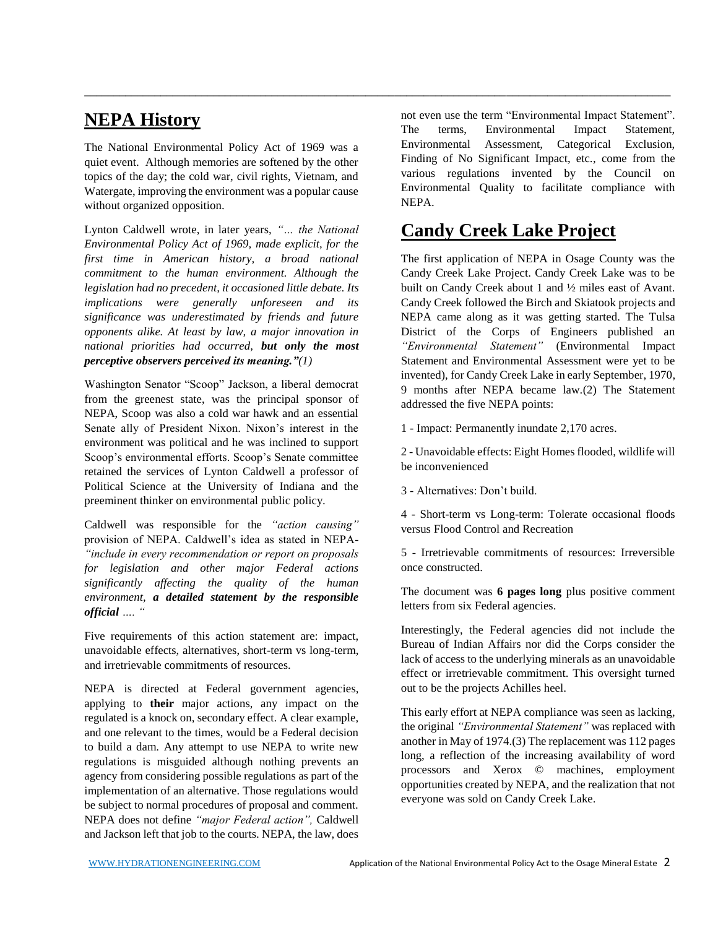#### **NEPA History**

The National Environmental Policy Act of 1969 was a quiet event. Although memories are softened by the other topics of the day; the cold war, civil rights, Vietnam, and Watergate, improving the environment was a popular cause without organized opposition.

Lynton Caldwell wrote, in later years, *"… the National Environmental Policy Act of 1969, made explicit, for the first time in American history, a broad national commitment to the human environment. Although the legislation had no precedent, it occasioned little debate. Its implications were generally unforeseen and its significance was underestimated by friends and future opponents alike. At least by law, a major innovation in national priorities had occurred, but only the most perceptive observers perceived its meaning."(1)*

Washington Senator "Scoop" Jackson, a liberal democrat from the greenest state, was the principal sponsor of NEPA, Scoop was also a cold war hawk and an essential Senate ally of President Nixon. Nixon's interest in the environment was political and he was inclined to support Scoop's environmental efforts. Scoop's Senate committee retained the services of Lynton Caldwell a professor of Political Science at the University of Indiana and the preeminent thinker on environmental public policy.

Caldwell was responsible for the *"action causing"*  provision of NEPA. Caldwell's idea as stated in NEPA- *"include in every recommendation or report on proposals for legislation and other major Federal actions significantly affecting the quality of the human environment, a detailed statement by the responsible official …. "*

Five requirements of this action statement are: impact, unavoidable effects, alternatives, short-term vs long-term, and irretrievable commitments of resources.

NEPA is directed at Federal government agencies, applying to **their** major actions, any impact on the regulated is a knock on, secondary effect. A clear example, and one relevant to the times, would be a Federal decision to build a dam. Any attempt to use NEPA to write new regulations is misguided although nothing prevents an agency from considering possible regulations as part of the implementation of an alternative. Those regulations would be subject to normal procedures of proposal and comment. NEPA does not define *"major Federal action",* Caldwell and Jackson left that job to the courts. NEPA, the law, does

not even use the term "Environmental Impact Statement". The terms, Environmental Impact Statement, Environmental Assessment, Categorical Exclusion, Finding of No Significant Impact, etc., come from the various regulations invented by the Council on Environmental Quality to facilitate compliance with NEPA.

#### **Candy Creek Lake Project**

\_\_\_\_\_\_\_\_\_\_\_\_\_\_\_\_\_\_\_\_\_\_\_\_\_\_\_\_\_\_\_\_\_\_\_\_\_\_\_\_\_\_\_\_\_\_\_\_\_\_\_\_\_\_\_\_\_\_\_\_\_\_\_\_\_\_\_\_\_\_\_\_\_\_\_\_\_\_\_\_\_\_\_\_\_\_\_\_\_\_\_\_\_\_\_\_\_\_\_\_

The first application of NEPA in Osage County was the Candy Creek Lake Project. Candy Creek Lake was to be built on Candy Creek about 1 and ½ miles east of Avant. Candy Creek followed the Birch and Skiatook projects and NEPA came along as it was getting started. The Tulsa District of the Corps of Engineers published an *"Environmental Statement"* (Environmental Impact Statement and Environmental Assessment were yet to be invented), for Candy Creek Lake in early September, 1970, 9 months after NEPA became law.(2) The Statement addressed the five NEPA points:

1 - Impact: Permanently inundate 2,170 acres.

2 - Unavoidable effects: Eight Homes flooded, wildlife will be inconvenienced

3 - Alternatives: Don't build.

4 - Short-term vs Long-term: Tolerate occasional floods versus Flood Control and Recreation

5 - Irretrievable commitments of resources: Irreversible once constructed.

The document was **6 pages long** plus positive comment letters from six Federal agencies.

Interestingly, the Federal agencies did not include the Bureau of Indian Affairs nor did the Corps consider the lack of access to the underlying minerals as an unavoidable effect or irretrievable commitment. This oversight turned out to be the projects Achilles heel.

This early effort at NEPA compliance was seen as lacking, the original *"Environmental Statement"* was replaced with another in May of 1974.(3) The replacement was 112 pages long, a reflection of the increasing availability of word processors and Xerox © machines, employment opportunities created by NEPA, and the realization that not everyone was sold on Candy Creek Lake.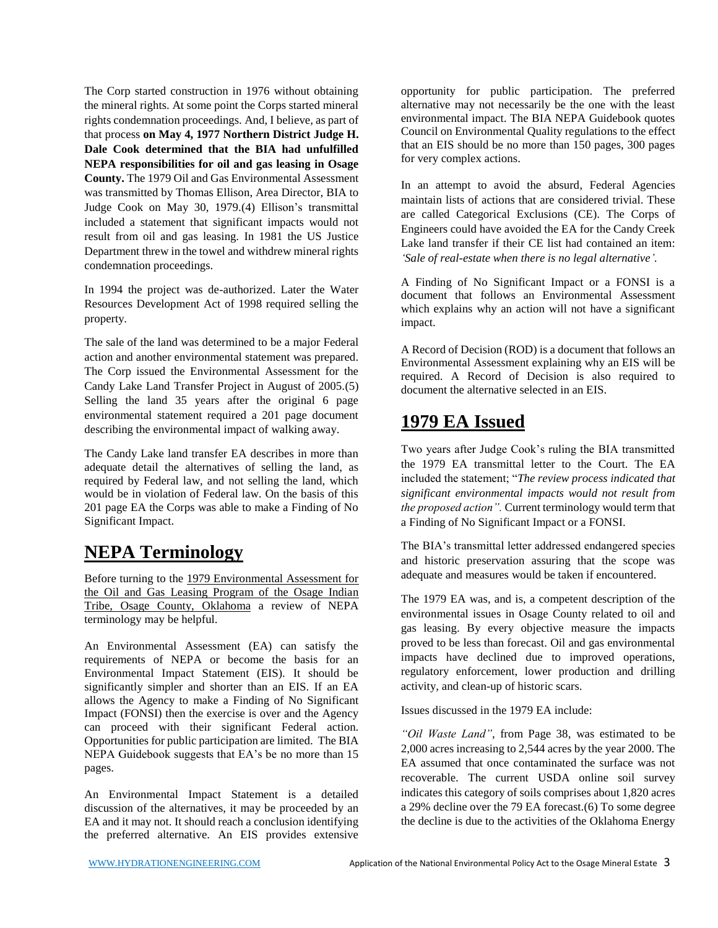The Corp started construction in 1976 without obtaining the mineral rights. At some point the Corps started mineral rights condemnation proceedings. And, I believe, as part of that process **on May 4, 1977 Northern District Judge H. Dale Cook determined that the BIA had unfulfilled NEPA responsibilities for oil and gas leasing in Osage County.** The 1979 Oil and Gas Environmental Assessment was transmitted by Thomas Ellison, Area Director, BIA to Judge Cook on May 30, 1979.(4) Ellison's transmittal included a statement that significant impacts would not result from oil and gas leasing. In 1981 the US Justice Department threw in the towel and withdrew mineral rights condemnation proceedings.

In 1994 the project was de-authorized. Later the Water Resources Development Act of 1998 required selling the property.

The sale of the land was determined to be a major Federal action and another environmental statement was prepared. The Corp issued the Environmental Assessment for the Candy Lake Land Transfer Project in August of 2005.(5) Selling the land 35 years after the original 6 page environmental statement required a 201 page document describing the environmental impact of walking away.

The Candy Lake land transfer EA describes in more than adequate detail the alternatives of selling the land, as required by Federal law, and not selling the land, which would be in violation of Federal law. On the basis of this 201 page EA the Corps was able to make a Finding of No Significant Impact.

#### **NEPA Terminology**

Before turning to the 1979 Environmental Assessment for the Oil and Gas Leasing Program of the Osage Indian Tribe, Osage County, Oklahoma a review of NEPA terminology may be helpful.

An Environmental Assessment (EA) can satisfy the requirements of NEPA or become the basis for an Environmental Impact Statement (EIS). It should be significantly simpler and shorter than an EIS. If an EA allows the Agency to make a Finding of No Significant Impact (FONSI) then the exercise is over and the Agency can proceed with their significant Federal action. Opportunities for public participation are limited. The BIA NEPA Guidebook suggests that EA's be no more than 15 pages.

An Environmental Impact Statement is a detailed discussion of the alternatives, it may be proceeded by an EA and it may not. It should reach a conclusion identifying the preferred alternative. An EIS provides extensive

opportunity for public participation. The preferred alternative may not necessarily be the one with the least environmental impact. The BIA NEPA Guidebook quotes Council on Environmental Quality regulations to the effect that an EIS should be no more than 150 pages, 300 pages for very complex actions.

In an attempt to avoid the absurd, Federal Agencies maintain lists of actions that are considered trivial. These are called Categorical Exclusions (CE). The Corps of Engineers could have avoided the EA for the Candy Creek Lake land transfer if their CE list had contained an item: *'Sale of real-estate when there is no legal alternative'.* 

A Finding of No Significant Impact or a FONSI is a document that follows an Environmental Assessment which explains why an action will not have a significant impact.

A Record of Decision (ROD) is a document that follows an Environmental Assessment explaining why an EIS will be required. A Record of Decision is also required to document the alternative selected in an EIS.

#### **1979 EA Issued**

Two years after Judge Cook's ruling the BIA transmitted the 1979 EA transmittal letter to the Court. The EA included the statement; "*The review process indicated that significant environmental impacts would not result from the proposed action".* Current terminology would term that a Finding of No Significant Impact or a FONSI.

The BIA's transmittal letter addressed endangered species and historic preservation assuring that the scope was adequate and measures would be taken if encountered.

The 1979 EA was, and is, a competent description of the environmental issues in Osage County related to oil and gas leasing. By every objective measure the impacts proved to be less than forecast. Oil and gas environmental impacts have declined due to improved operations, regulatory enforcement, lower production and drilling activity, and clean-up of historic scars.

Issues discussed in the 1979 EA include:

*"Oil Waste Land",* from Page 38, was estimated to be 2,000 acres increasing to 2,544 acres by the year 2000. The EA assumed that once contaminated the surface was not recoverable. The current USDA online soil survey indicates this category of soils comprises about 1,820 acres a 29% decline over the 79 EA forecast.(6) To some degree the decline is due to the activities of the Oklahoma Energy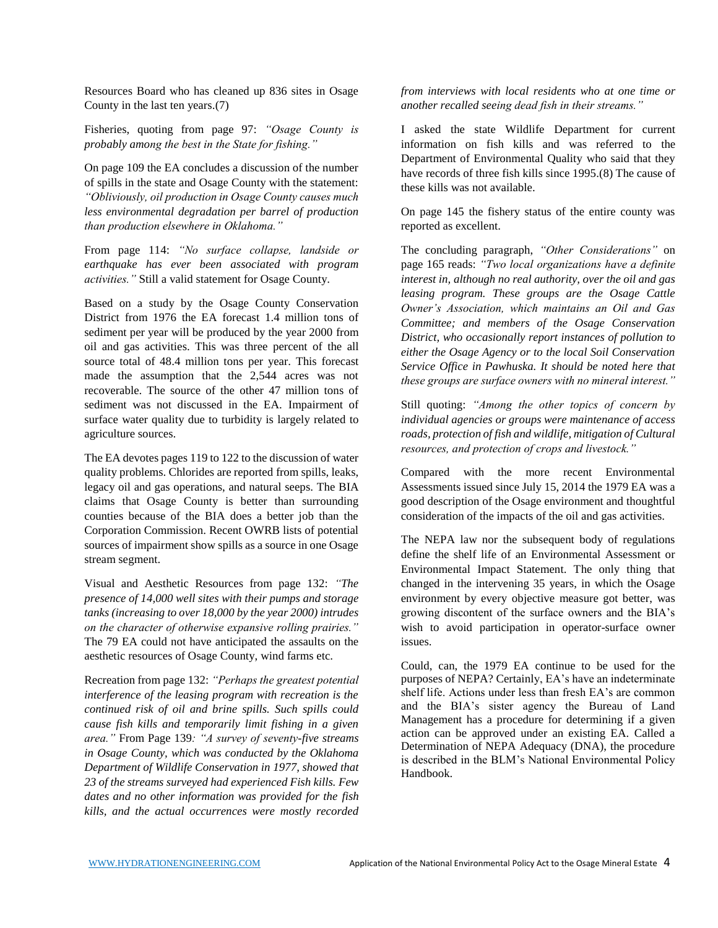Resources Board who has cleaned up 836 sites in Osage County in the last ten years.(7)

Fisheries, quoting from page 97: *"Osage County is probably among the best in the State for fishing."*

On page 109 the EA concludes a discussion of the number of spills in the state and Osage County with the statement: *"Obliviously, oil production in Osage County causes much less environmental degradation per barrel of production than production elsewhere in Oklahoma."* 

From page 114: *"No surface collapse, landside or earthquake has ever been associated with program activities."* Still a valid statement for Osage County.

Based on a study by the Osage County Conservation District from 1976 the EA forecast 1.4 million tons of sediment per year will be produced by the year 2000 from oil and gas activities. This was three percent of the all source total of 48.4 million tons per year. This forecast made the assumption that the 2,544 acres was not recoverable. The source of the other 47 million tons of sediment was not discussed in the EA. Impairment of surface water quality due to turbidity is largely related to agriculture sources.

The EA devotes pages 119 to 122 to the discussion of water quality problems. Chlorides are reported from spills, leaks, legacy oil and gas operations, and natural seeps. The BIA claims that Osage County is better than surrounding counties because of the BIA does a better job than the Corporation Commission. Recent OWRB lists of potential sources of impairment show spills as a source in one Osage stream segment.

Visual and Aesthetic Resources from page 132: *"The presence of 14,000 well sites with their pumps and storage tanks (increasing to over 18,000 by the year 2000) intrudes on the character of otherwise expansive rolling prairies."* The 79 EA could not have anticipated the assaults on the aesthetic resources of Osage County, wind farms etc.

Recreation from page 132: *"Perhaps the greatest potential interference of the leasing program with recreation is the continued risk of oil and brine spills. Such spills could cause fish kills and temporarily limit fishing in a given area."* From Page 139*: "A survey of seventy-five streams in Osage County, which was conducted by the Oklahoma Department of Wildlife Conservation in 1977, showed that 23 of the streams surveyed had experienced Fish kills. Few dates and no other information was provided for the fish kills, and the actual occurrences were mostly recorded* 

*from interviews with local residents who at one time or another recalled seeing dead fish in their streams."* 

I asked the state Wildlife Department for current information on fish kills and was referred to the Department of Environmental Quality who said that they have records of three fish kills since 1995.(8) The cause of these kills was not available.

On page 145 the fishery status of the entire county was reported as excellent.

The concluding paragraph, *"Other Considerations"* on page 165 reads: *"Two local organizations have a definite interest in, although no real authority, over the oil and gas leasing program. These groups are the Osage Cattle Owner's Association, which maintains an Oil and Gas Committee; and members of the Osage Conservation District, who occasionally report instances of pollution to either the Osage Agency or to the local Soil Conservation Service Office in Pawhuska. It should be noted here that these groups are surface owners with no mineral interest."*

Still quoting: *"Among the other topics of concern by individual agencies or groups were maintenance of access roads, protection of fish and wildlife, mitigation of Cultural resources, and protection of crops and livestock."*

Compared with the more recent Environmental Assessments issued since July 15, 2014 the 1979 EA was a good description of the Osage environment and thoughtful consideration of the impacts of the oil and gas activities.

The NEPA law nor the subsequent body of regulations define the shelf life of an Environmental Assessment or Environmental Impact Statement. The only thing that changed in the intervening 35 years, in which the Osage environment by every objective measure got better, was growing discontent of the surface owners and the BIA's wish to avoid participation in operator-surface owner issues.

Could, can, the 1979 EA continue to be used for the purposes of NEPA? Certainly, EA's have an indeterminate shelf life. Actions under less than fresh EA's are common and the BIA's sister agency the Bureau of Land Management has a procedure for determining if a given action can be approved under an existing EA. Called a Determination of NEPA Adequacy (DNA), the procedure is described in the BLM's National Environmental Policy Handbook.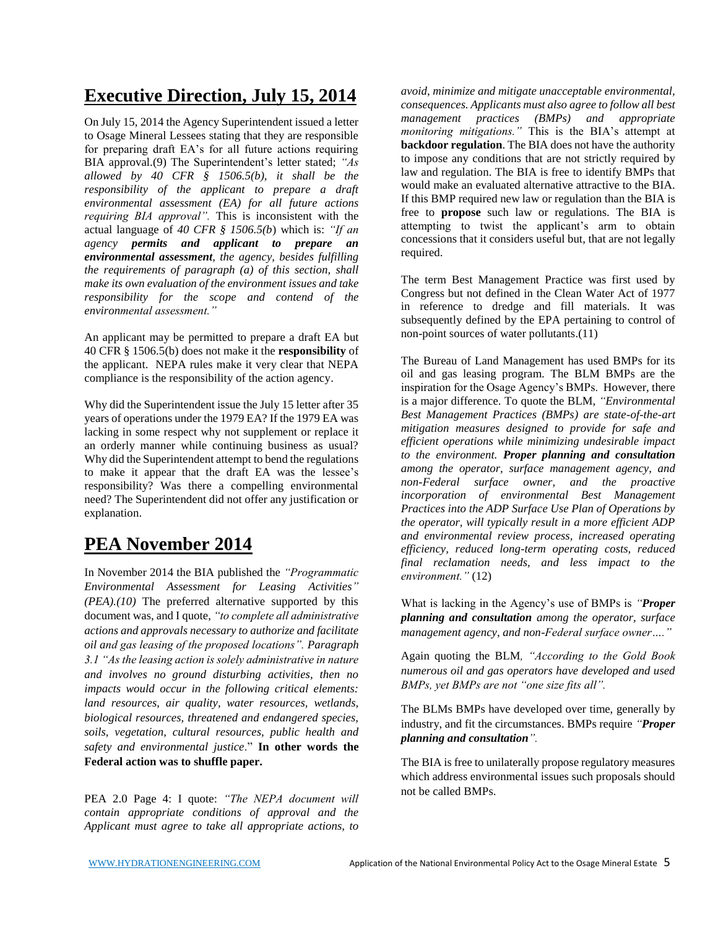#### **Executive Direction, July 15, 2014**

On July 15, 2014 the Agency Superintendent issued a letter to Osage Mineral Lessees stating that they are responsible for preparing draft EA's for all future actions requiring BIA approval.(9) The Superintendent's letter stated; *"As allowed by 40 CFR § 1506.5(b), it shall be the responsibility of the applicant to prepare a draft environmental assessment (EA) for all future actions requiring BIA approval".* This is inconsistent with the actual language of *40 CFR § 1506.5(b*) which is: *"If an agency permits and applicant to prepare an environmental assessment, the agency, besides fulfilling the requirements of paragraph (a) of this section, shall make its own evaluation of the environment issues and take responsibility for the scope and contend of the environmental assessment."*

An applicant may be permitted to prepare a draft EA but 40 CFR § 1506.5(b) does not make it the **responsibility** of the applicant. NEPA rules make it very clear that NEPA compliance is the responsibility of the action agency.

Why did the Superintendent issue the July 15 letter after 35 years of operations under the 1979 EA? If the 1979 EA was lacking in some respect why not supplement or replace it an orderly manner while continuing business as usual? Why did the Superintendent attempt to bend the regulations to make it appear that the draft EA was the lessee's responsibility? Was there a compelling environmental need? The Superintendent did not offer any justification or explanation.

### **PEA November 2014**

In November 2014 the BIA published the *"Programmatic Environmental Assessment for Leasing Activities" (PEA).(10)* The preferred alternative supported by this document was, and I quote, *"to complete all administrative actions and approvals necessary to authorize and facilitate oil and gas leasing of the proposed locations". Paragraph 3.1 "As the leasing action is solely administrative in nature and involves no ground disturbing activities, then no impacts would occur in the following critical elements: land resources, air quality, water resources, wetlands, biological resources, threatened and endangered species, soils, vegetation, cultural resources, public health and safety and environmental justice*." **In other words the Federal action was to shuffle paper.**

PEA 2.0 Page 4: I quote: *"The NEPA document will contain appropriate conditions of approval and the Applicant must agree to take all appropriate actions, to*  *avoid, minimize and mitigate unacceptable environmental, consequences. Applicants must also agree to follow all best management practices (BMPs) and appropriate monitoring mitigations."* This is the BIA's attempt at **backdoor regulation**. The BIA does not have the authority to impose any conditions that are not strictly required by law and regulation. The BIA is free to identify BMPs that would make an evaluated alternative attractive to the BIA. If this BMP required new law or regulation than the BIA is free to **propose** such law or regulations. The BIA is attempting to twist the applicant's arm to obtain concessions that it considers useful but, that are not legally required.

The term Best Management Practice was first used by Congress but not defined in the Clean Water Act of 1977 in reference to dredge and fill materials. It was subsequently defined by the EPA pertaining to control of non-point sources of water pollutants.(11)

The Bureau of Land Management has used BMPs for its oil and gas leasing program. The BLM BMPs are the inspiration for the Osage Agency's BMPs. However, there is a major difference. To quote the BLM, *"Environmental Best Management Practices (BMPs) are state-of-the-art mitigation measures designed to provide for safe and efficient operations while minimizing undesirable impact to the environment. Proper planning and consultation among the operator, surface management agency, and non-Federal surface owner, and the proactive incorporation of environmental Best Management Practices into the ADP Surface Use Plan of Operations by the operator, will typically result in a more efficient ADP and environmental review process, increased operating efficiency, reduced long-term operating costs, reduced final reclamation needs, and less impact to the environment."* (12)

What is lacking in the Agency's use of BMPs is *"Proper planning and consultation among the operator, surface management agency, and non-Federal surface owner…."* 

Again quoting the BLM*, "According to the Gold Book numerous oil and gas operators have developed and used BMPs, yet BMPs are not "one size fits all".*

The BLMs BMPs have developed over time, generally by industry, and fit the circumstances. BMPs require *"Proper planning and consultation".* 

The BIA is free to unilaterally propose regulatory measures which address environmental issues such proposals should not be called BMPs.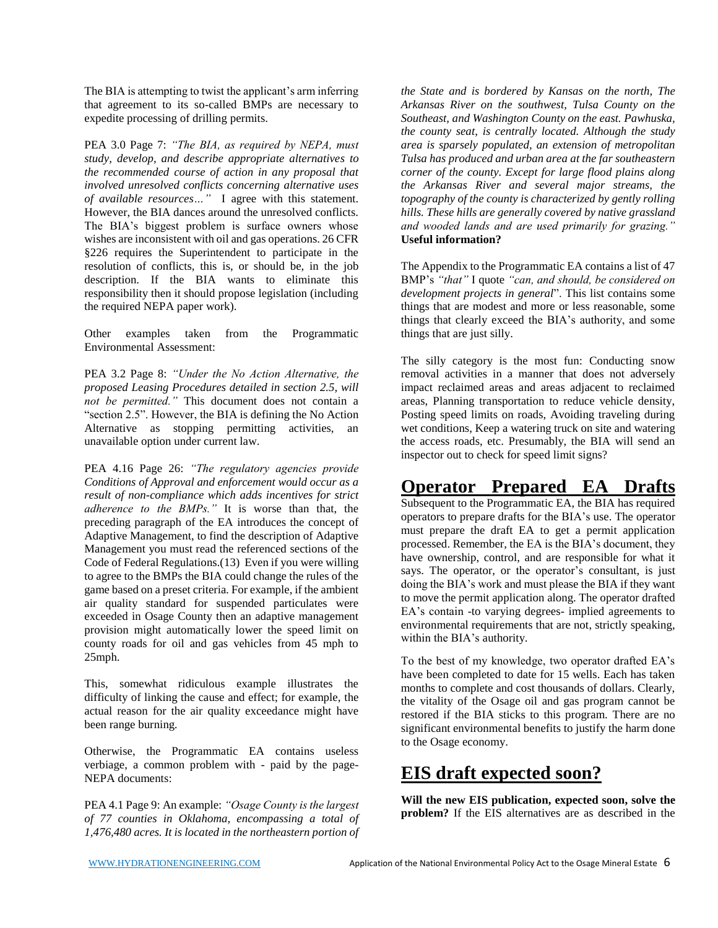The BIA is attempting to twist the applicant's arm inferring that agreement to its so-called BMPs are necessary to expedite processing of drilling permits.

PEA 3.0 Page 7: *"The BIA, as required by NEPA, must study, develop, and describe appropriate alternatives to the recommended course of action in any proposal that involved unresolved conflicts concerning alternative uses of available resources…"* I agree with this statement. However, the BIA dances around the unresolved conflicts. The BIA's biggest problem is surface owners whose wishes are inconsistent with oil and gas operations. 26 CFR §226 requires the Superintendent to participate in the resolution of conflicts, this is, or should be, in the job description. If the BIA wants to eliminate this responsibility then it should propose legislation (including the required NEPA paper work).

Other examples taken from the Programmatic Environmental Assessment:

PEA 3.2 Page 8: *"Under the No Action Alternative, the proposed Leasing Procedures detailed in section 2.5, will not be permitted."* This document does not contain a "section 2.5". However, the BIA is defining the No Action Alternative as stopping permitting activities, an unavailable option under current law.

PEA 4.16 Page 26: *"The regulatory agencies provide Conditions of Approval and enforcement would occur as a result of non-compliance which adds incentives for strict adherence to the BMPs."* It is worse than that, the preceding paragraph of the EA introduces the concept of Adaptive Management, to find the description of Adaptive Management you must read the referenced sections of the Code of Federal Regulations.(13) Even if you were willing to agree to the BMPs the BIA could change the rules of the game based on a preset criteria. For example, if the ambient air quality standard for suspended particulates were exceeded in Osage County then an adaptive management provision might automatically lower the speed limit on county roads for oil and gas vehicles from 45 mph to 25mph.

This, somewhat ridiculous example illustrates the difficulty of linking the cause and effect; for example, the actual reason for the air quality exceedance might have been range burning*.* 

Otherwise, the Programmatic EA contains useless verbiage, a common problem with - paid by the page-NEPA documents:

PEA 4.1 Page 9: An example: *"Osage County is the largest of 77 counties in Oklahoma, encompassing a total of 1,476,480 acres. It is located in the northeastern portion of*  *the State and is bordered by Kansas on the north, The Arkansas River on the southwest, Tulsa County on the Southeast, and Washington County on the east. Pawhuska, the county seat, is centrally located. Although the study area is sparsely populated, an extension of metropolitan Tulsa has produced and urban area at the far southeastern corner of the county. Except for large flood plains along the Arkansas River and several major streams, the topography of the county is characterized by gently rolling hills. These hills are generally covered by native grassland and wooded lands and are used primarily for grazing."*  **Useful information?**

The Appendix to the Programmatic EA contains a list of 47 BMP's *"that"* I quote *"can, and should, be considered on development projects in general*". This list contains some things that are modest and more or less reasonable, some things that clearly exceed the BIA's authority, and some things that are just silly.

The silly category is the most fun: Conducting snow removal activities in a manner that does not adversely impact reclaimed areas and areas adjacent to reclaimed areas, Planning transportation to reduce vehicle density, Posting speed limits on roads, Avoiding traveling during wet conditions, Keep a watering truck on site and watering the access roads, etc. Presumably, the BIA will send an inspector out to check for speed limit signs?

#### **Operator Prepared EA Drafts**

Subsequent to the Programmatic EA, the BIA has required operators to prepare drafts for the BIA's use. The operator must prepare the draft EA to get a permit application processed. Remember, the EA is the BIA's document, they have ownership, control, and are responsible for what it says. The operator, or the operator's consultant, is just doing the BIA's work and must please the BIA if they want to move the permit application along. The operator drafted EA's contain -to varying degrees- implied agreements to environmental requirements that are not, strictly speaking, within the BIA's authority.

To the best of my knowledge, two operator drafted EA's have been completed to date for 15 wells. Each has taken months to complete and cost thousands of dollars. Clearly, the vitality of the Osage oil and gas program cannot be restored if the BIA sticks to this program. There are no significant environmental benefits to justify the harm done to the Osage economy.

#### **EIS draft expected soon?**

**Will the new EIS publication, expected soon, solve the problem?** If the EIS alternatives are as described in the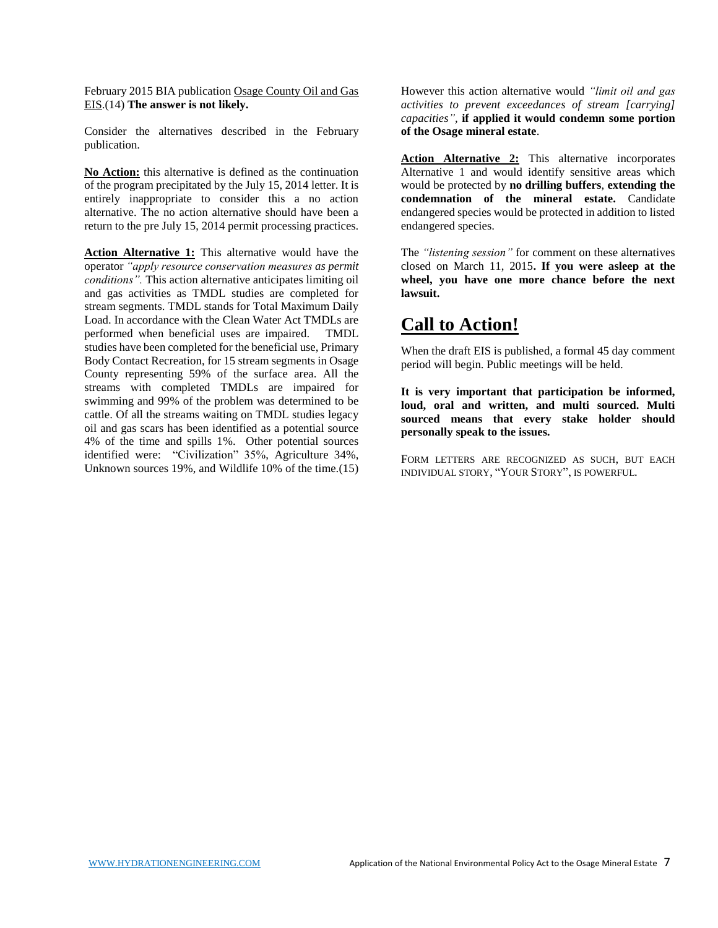February 2015 BIA publication Osage County Oil and Gas EIS.(14) **The answer is not likely.**

Consider the alternatives described in the February publication.

**No Action:** this alternative is defined as the continuation of the program precipitated by the July 15, 2014 letter. It is entirely inappropriate to consider this a no action alternative. The no action alternative should have been a return to the pre July 15, 2014 permit processing practices.

**Action Alternative 1:** This alternative would have the operator *"apply resource conservation measures as permit conditions".* This action alternative anticipates limiting oil and gas activities as TMDL studies are completed for stream segments. TMDL stands for Total Maximum Daily Load. In accordance with the Clean Water Act TMDLs are performed when beneficial uses are impaired. TMDL studies have been completed for the beneficial use, Primary Body Contact Recreation, for 15 stream segments in Osage County representing 59% of the surface area. All the streams with completed TMDLs are impaired for swimming and 99% of the problem was determined to be cattle. Of all the streams waiting on TMDL studies legacy oil and gas scars has been identified as a potential source 4% of the time and spills 1%. Other potential sources identified were: "Civilization" 35%, Agriculture 34%, Unknown sources 19%, and Wildlife 10% of the time.(15) However this action alternative would *"limit oil and gas activities to prevent exceedances of stream [carrying] capacities",* **if applied it would condemn some portion of the Osage mineral estate**.

Action **Alternative 2:** This alternative incorporates Alternative 1 and would identify sensitive areas which would be protected by **no drilling buffers**, **extending the condemnation of the mineral estate.** Candidate endangered species would be protected in addition to listed endangered species.

The *"listening session"* for comment on these alternatives closed on March 11, 2015**. If you were asleep at the wheel, you have one more chance before the next lawsuit.** 

#### **Call to Action!**

When the draft EIS is published, a formal 45 day comment period will begin. Public meetings will be held.

**It is very important that participation be informed, loud, oral and written, and multi sourced. Multi sourced means that every stake holder should personally speak to the issues***.*

FORM LETTERS ARE RECOGNIZED AS SUCH, BUT EACH INDIVIDUAL STORY, "YOUR STORY", IS POWERFUL.